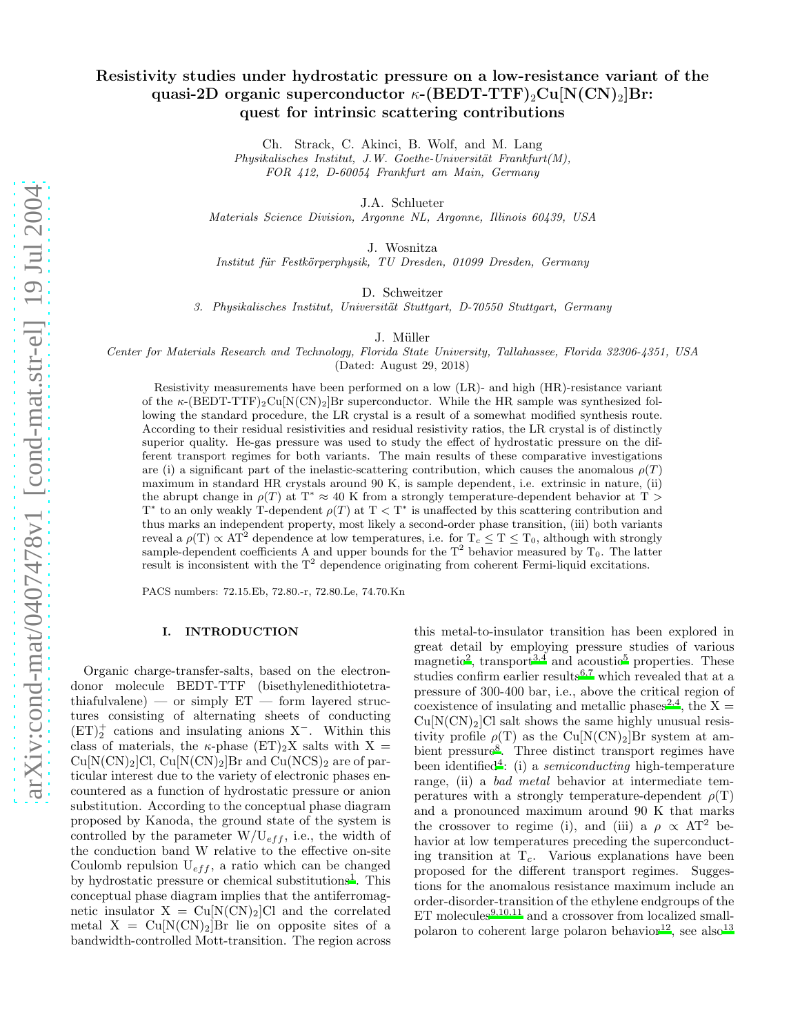# Resistivity studies under hydrostatic pressure on a low-resistance variant of the quasi-2D organic superconductor  $\kappa$ -(BEDT-TTF)<sub>2</sub>Cu[N(CN)<sub>2</sub>]Br: quest for intrinsic scattering contributions

Ch. Strack, C. Akinci, B. Wolf, and M. Lang

 $Physikalisches$  Institut, J.W. Goethe-Universität Frankfurt $(M)$ , FOR 412, D-60054 Frankfurt am Main, Germany

J.A. Schlueter

Materials Science Division, Argonne NL, Argonne, Illinois 60439, USA

J. Wosnitza

Institut für Festkörperphysik, TU Dresden, 01099 Dresden, Germany

D. Schweitzer

3. Physikalisches Institut, Universität Stuttgart, D-70550 Stuttgart, Germany

J. Müller

Center for Materials Research and Technology, Florida State University, Tallahassee, Florida 32306-4351, USA

(Dated: August 29, 2018)

Resistivity measurements have been performed on a low (LR)- and high (HR)-resistance variant of the  $\kappa$ -(BEDT-TTF)<sub>2</sub>Cu[N(CN)<sub>2</sub>]Br superconductor. While the HR sample was synthesized following the standard procedure, the LR crystal is a result of a somewhat modified synthesis route. According to their residual resistivities and residual resistivity ratios, the LR crystal is of distinctly superior quality. He-gas pressure was used to study the effect of hydrostatic pressure on the different transport regimes for both variants. The main results of these comparative investigations are (i) a significant part of the inelastic-scattering contribution, which causes the anomalous  $\rho(T)$ maximum in standard HR crystals around 90 K, is sample dependent, i.e. extrinsic in nature, (ii) the abrupt change in  $\rho(T)$  at T<sup>\*</sup>  $\approx$  40 K from a strongly temperature-dependent behavior at T >  $T^*$  to an only weakly T-dependent  $\rho(T)$  at  $T < T^*$  is unaffected by this scattering contribution and thus marks an independent property, most likely a second-order phase transition, (iii) both variants reveal a  $\rho(T) \propto AT^2$  dependence at low temperatures, i.e. for  $T_c \leq T \leq T_0$ , although with strongly sample-dependent coefficients A and upper bounds for the  $T^2$  behavior measured by  $T_0$ . The latter result is inconsistent with the  $T^2$  dependence originating from coherent Fermi-liquid excitations.

PACS numbers: 72.15.Eb, 72.80.-r, 72.80.Le, 74.70.Kn

## I. INTRODUCTION

Organic charge-transfer-salts, based on the electrondonor molecule BEDT-TTF (bisethylenedithiotetrathiafulvalene) — or simply  $ET$  — form layered structures consisting of alternating sheets of conducting (ET)<sup>+</sup> 2 cations and insulating anions X<sup>−</sup>. Within this class of materials, the  $\kappa$ -phase (ET)<sub>2</sub>X salts with X =  $Cu[N(CN)_2]Cl, Cu[N(CN)_2]Br$  and  $Cu(NCS)_2$  are of particular interest due to the variety of electronic phases encountered as a function of hydrostatic pressure or anion substitution. According to the conceptual phase diagram proposed by Kanoda, the ground state of the system is controlled by the parameter  $W/U_{eff}$ , i.e., the width of the conduction band W relative to the effective on-site Coulomb repulsion  $U_{eff}$ , a ratio which can be changed by hydro[s](#page-6-0)tatic pressure or chemical substitutions<sup>1</sup>. This conceptual phase diagram implies that the antiferromagnetic insulator  $X = Cu[N(CN)<sub>2</sub>]Cl$  and the correlated metal  $X = Cu[N(CN)<sub>2</sub>]$ Br lie on opposite sites of a bandwidth-controlled Mott-transition. The region across

this metal-to-insulator transition has been explored in great detail by employing pressure studies of various magneti[c](#page-6-1)<sup>2</sup>, transport<sup>[3](#page-6-2)[,4](#page-6-3)</sup> and acoustic<sup>[5](#page-6-4)</sup> properties. These studies confirm earlier results<sup>[6](#page-6-5)[,7](#page-6-6)</sup> which revealed that at a pressure of 300-400 bar, i.e., above the critical region of coexistence of insulating and metallic phases<sup>[2](#page-6-1)[,4](#page-6-3)</sup>, the X =  $Cu[N(CN)_2]Cl$  salt shows the same highly unusual resistivity profile  $\rho(T)$  as the Cu[N(CN)<sub>2</sub>]Br system at ambi[e](#page-6-7)nt pressure<sup>8</sup>. Three distinct transport regimes have been identified<sup>[4](#page-6-3)</sup>: (i) a *semiconducting* high-temperature range, (ii) a bad metal behavior at intermediate temperatures with a strongly temperature-dependent  $\rho(T)$ and a pronounced maximum around 90 K that marks the crossover to regime (i), and (iii) a  $\rho \propto AT^2$  behavior at low temperatures preceding the superconducting transition at  $T_c$ . Various explanations have been proposed for the different transport regimes. Suggestions for the anomalous resistance maximum include an order-disorder-transition of the ethylene endgroups of the  $ET$  molecule[s](#page-6-8)<sup>9[,10](#page-6-9)[,11](#page-6-10)</sup> and a crossover from localized small-polaron to coherent large polaron behavior<sup>[12](#page-6-11)</sup>, see also<sup>[13](#page-6-12)</sup>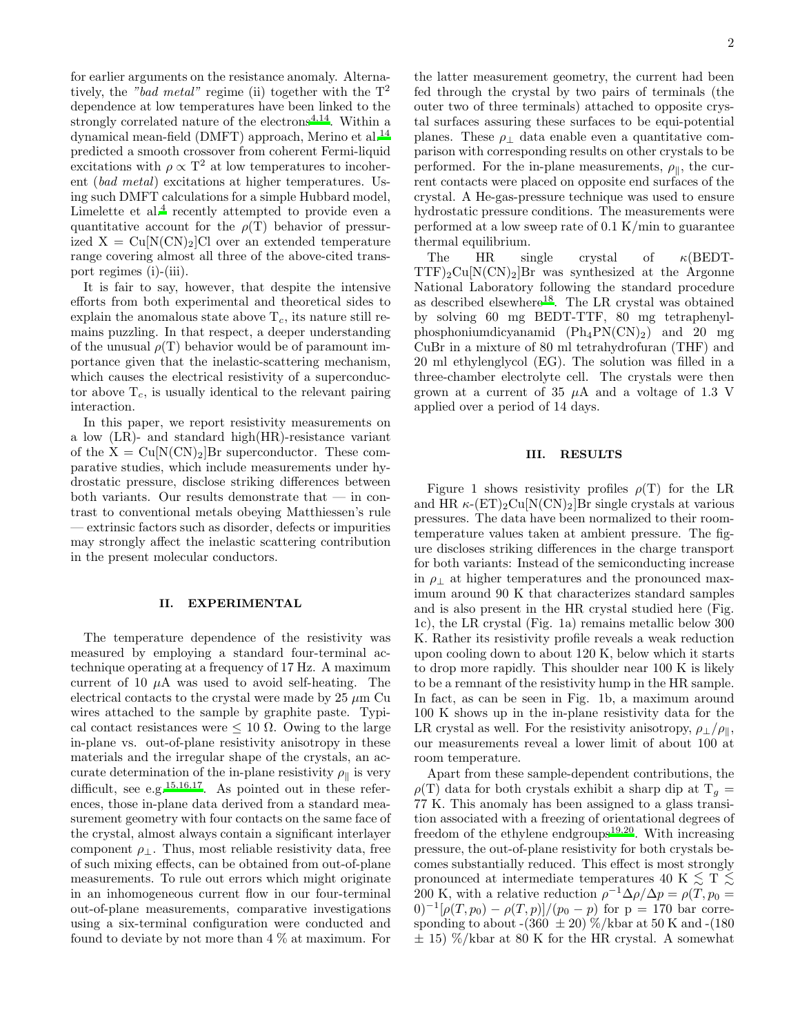for earlier arguments on the resistance anomaly. Alternatively, the "bad metal" regime (ii) together with the  $T^2$ dependence at low temperatures have been linked to the strongly correlated nature of the electrons<sup> $4,14$  $4,14$ </sup>. Within a dynamical mean-field (DMFT) approach, Merino et al.<sup>[14](#page-6-13)</sup> predicted a smooth crossover from coherent Fermi-liquid excitations with  $\rho \propto T^2$  at low temperatures to incoherent (bad metal) excitations at higher temperatures. Using such DMFT calculations for a simple Hubbard model, Limelette et al[.](#page-6-3)<sup>4</sup> recently attempted to provide even a quantitative account for the  $\rho(T)$  behavior of pressurized  $X = Cu[N(CN)<sub>2</sub>]C1$  over an extended temperature range covering almost all three of the above-cited transport regimes (i)-(iii).

It is fair to say, however, that despite the intensive efforts from both experimental and theoretical sides to explain the anomalous state above  $T_c$ , its nature still remains puzzling. In that respect, a deeper understanding of the unusual  $\rho(T)$  behavior would be of paramount importance given that the inelastic-scattering mechanism, which causes the electrical resistivity of a superconductor above  $T_c$ , is usually identical to the relevant pairing interaction.

In this paper, we report resistivity measurements on a low (LR)- and standard high(HR)-resistance variant of the  $X = Cu[N(CN)<sub>2</sub>]$ Br superconductor. These comparative studies, which include measurements under hydrostatic pressure, disclose striking differences between both variants. Our results demonstrate that — in contrast to conventional metals obeying Matthiessen's rule — extrinsic factors such as disorder, defects or impurities may strongly affect the inelastic scattering contribution in the present molecular conductors.

## II. EXPERIMENTAL

The temperature dependence of the resistivity was measured by employing a standard four-terminal actechnique operating at a frequency of 17 Hz. A maximum current of 10  $\mu$ A was used to avoid self-heating. The electrical contacts to the crystal were made by  $25 \mu m$  Cu wires attached to the sample by graphite paste. Typical contact resistances were  $\leq 10 \Omega$ . Owing to the large in-plane vs. out-of-plane resistivity anisotropy in these materials and the irregular shape of the crystals, an accurate determination of the in-plane resistivity  $\rho_{\parallel}$  is very difficult, see e.g.  $15,16,17$  $15,16,17$  $15,16,17$ . As pointed out in these references, those in-plane data derived from a standard measurement geometry with four contacts on the same face of the crystal, almost always contain a significant interlayer component  $\rho_{\perp}$ . Thus, most reliable resistivity data, free of such mixing effects, can be obtained from out-of-plane measurements. To rule out errors which might originate in an inhomogeneous current flow in our four-terminal out-of-plane measurements, comparative investigations using a six-terminal configuration were conducted and found to deviate by not more than 4 % at maximum. For

the latter measurement geometry, the current had been fed through the crystal by two pairs of terminals (the outer two of three terminals) attached to opposite crystal surfaces assuring these surfaces to be equi-potential planes. These  $\rho_{\perp}$  data enable even a quantitative comparison with corresponding results on other crystals to be performed. For the in-plane measurements,  $\rho_{\parallel}$ , the current contacts were placed on opposite end surfaces of the crystal. A He-gas-pressure technique was used to ensure hydrostatic pressure conditions. The measurements were performed at a low sweep rate of 0.1 K/min to guarantee thermal equilibrium.

The HR single crystal of κ(BEDT- $TTF)_2Cu[N(CN)_2]Br$  was synthesized at the Argonne National Laboratory following the standard procedure as described elsewhere<sup>[18](#page-6-17)</sup>. The LR crystal was obtained by solving 60 mg BEDT-TTF, 80 mg tetraphenylphosphoniumdicyanamid  $(Ph_4PN(CN)_2)$  and 20 mg CuBr in a mixture of 80 ml tetrahydrofuran (THF) and 20 ml ethylenglycol (EG). The solution was filled in a three-chamber electrolyte cell. The crystals were then grown at a current of 35  $\mu$ A and a voltage of 1.3 V applied over a period of 14 days.

#### III. RESULTS

Figure 1 shows resistivity profiles  $\rho(T)$  for the LR and HR  $\kappa$ -(ET)<sub>2</sub>Cu[N(CN)<sub>2</sub>]Br single crystals at various pressures. The data have been normalized to their roomtemperature values taken at ambient pressure. The figure discloses striking differences in the charge transport for both variants: Instead of the semiconducting increase in  $\rho_{\perp}$  at higher temperatures and the pronounced maximum around 90 K that characterizes standard samples and is also present in the HR crystal studied here (Fig. 1c), the LR crystal (Fig. 1a) remains metallic below 300 K. Rather its resistivity profile reveals a weak reduction upon cooling down to about 120 K, below which it starts to drop more rapidly. This shoulder near 100 K is likely to be a remnant of the resistivity hump in the HR sample. In fact, as can be seen in Fig. 1b, a maximum around 100 K shows up in the in-plane resistivity data for the LR crystal as well. For the resistivity anisotropy,  $\rho_+/\rho_{\parallel}$ , our measurements reveal a lower limit of about 100 at room temperature.

Apart from these sample-dependent contributions, the  $\rho(T)$  data for both crystals exhibit a sharp dip at  $T_q =$ 77 K. This anomaly has been assigned to a glass transition associated with a freezing of orientational degrees of freedom of the ethylene endgroups $19,20$  $19,20$ . With increasing pressure, the out-of-plane resistivity for both crystals becomes substantially reduced. This effect is most strongly pronounced at intermediate temperatures 40 K  $\leq$  T  $\leq$ 200 K, with a relative reduction  $\rho^{-1} \Delta \rho / \Delta p = \rho(T, p_0 =$  $(0)^{-1}[\rho(T, p_0) - \rho(T, p)]/(p_0 - p)$  for  $p = 170$  bar corresponding to about -(360  $\pm$  20) %/kbar at 50 K and -(180)  $\pm$  15) %/kbar at 80 K for the HR crystal. A somewhat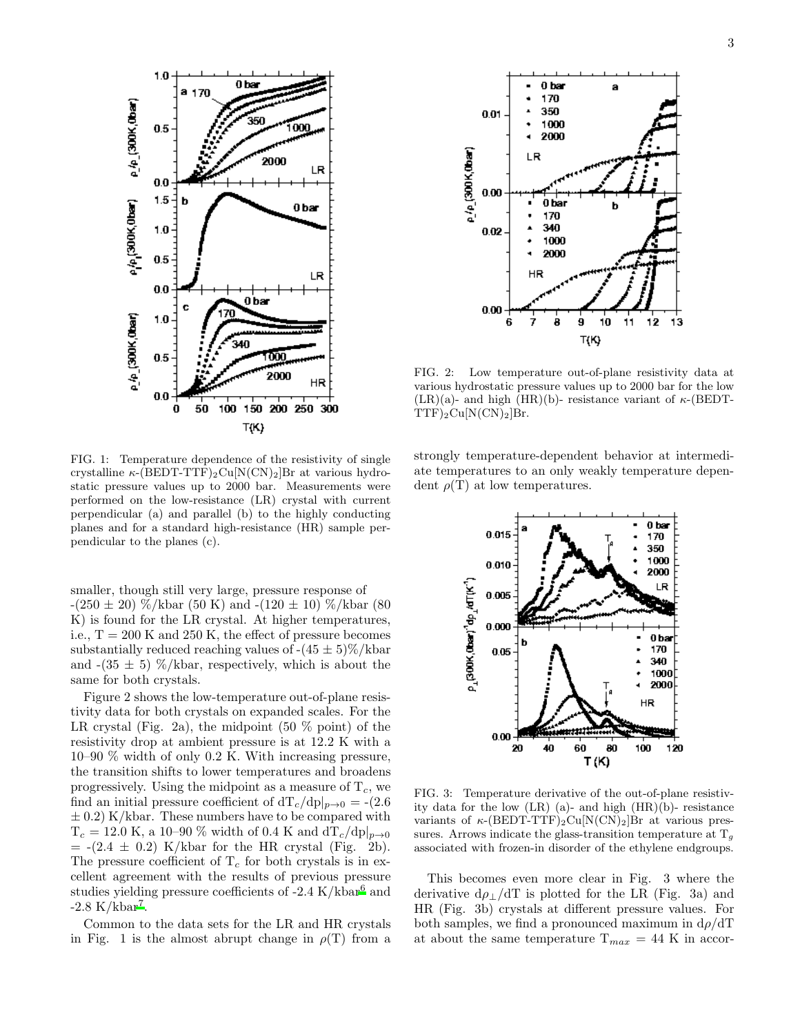

FIG. 1: Temperature dependence of the resistivity of single crystalline  $\kappa$ -(BEDT-TTF)<sub>2</sub>Cu[N(CN)<sub>2</sub>]Br at various hydrostatic pressure values up to 2000 bar. Measurements were performed on the low-resistance (LR) crystal with current perpendicular (a) and parallel (b) to the highly conducting planes and for a standard high-resistance (HR) sample perpendicular to the planes (c).

smaller, though still very large, pressure response of  $-(250 \pm 20)$  %/kbar (50 K) and  $-(120 \pm 10)$  %/kbar (80) K) is found for the LR crystal. At higher temperatures, i.e.,  $T = 200$  K and 250 K, the effect of pressure becomes substantially reduced reaching values of  $-(45 \pm 5)\% / \text{kbar}$ and  $-(35 \pm 5)$  %/kbar, respectively, which is about the same for both crystals.

Figure 2 shows the low-temperature out-of-plane resistivity data for both crystals on expanded scales. For the LR crystal (Fig. 2a), the midpoint  $(50\% \text{ point})$  of the resistivity drop at ambient pressure is at 12.2 K with a 10–90 % width of only 0.2 K. With increasing pressure, the transition shifts to lower temperatures and broadens progressively. Using the midpoint as a measure of  $T_c$ , we find an initial pressure coefficient of  $dT_c/dp|_{p\to 0} = -(2.6$  $\pm$  0.2) K/kbar. These numbers have to be compared with  $T_c = 12.0 \text{ K}$ , a 10–90 % width of 0.4 K and  $dT_c/dp|_{p\to 0}$  $= -(2.4 \pm 0.2)$  K/kbar for the HR crystal (Fig. 2b). The pressure coefficient of  $T_c$  for both crystals is in excellent agreement with the results of previous pressure studies yielding pressure coefficients of  $-2.4$  K/kbar<sup>[6](#page-6-5)</sup> and  $-2.8 \text{ K/kbar}^7$  $-2.8 \text{ K/kbar}^7$ .

Common to the data sets for the LR and HR crystals in Fig. 1 is the almost abrupt change in  $\rho(T)$  from a



FIG. 2: Low temperature out-of-plane resistivity data at various hydrostatic pressure values up to 2000 bar for the low  $(LR)(a)$ - and high  $(HR)(b)$ - resistance variant of  $\kappa$ -(BEDT- $TTF)_2Cu[N(CN)_2]Br.$ 

strongly temperature-dependent behavior at intermediate temperatures to an only weakly temperature dependent  $\rho(T)$  at low temperatures.



FIG. 3: Temperature derivative of the out-of-plane resistivity data for the low  $(LR)$  (a)- and high  $(HR)(b)$ - resistance variants of  $\kappa$ -(BEDT-TTF)<sub>2</sub>Cu[N(CN)<sub>2</sub>]Br at various pressures. Arrows indicate the glass-transition temperature at  $T<sub>q</sub>$ associated with frozen-in disorder of the ethylene endgroups.

This becomes even more clear in Fig. 3 where the derivative  $d\rho_{\perp}/dT$  is plotted for the LR (Fig. 3a) and HR (Fig. 3b) crystals at different pressure values. For both samples, we find a pronounced maximum in  $d\rho/dT$ at about the same temperature  $T_{max} = 44$  K in accor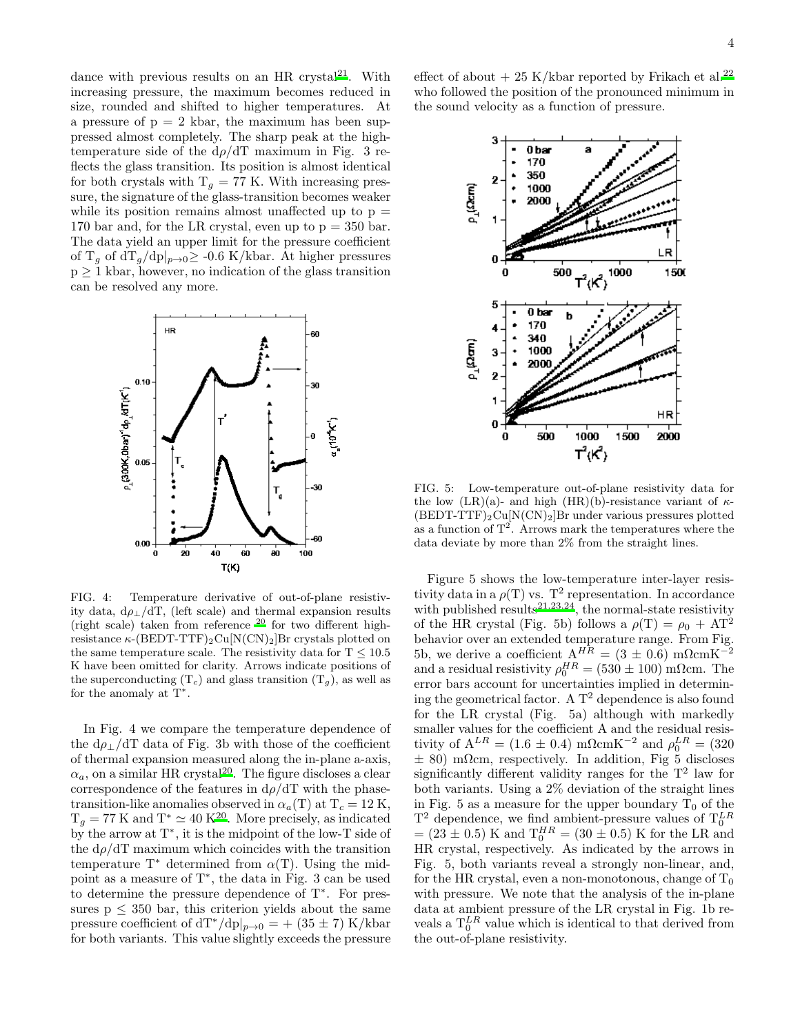dance with previous results on an HR crystal<sup>[21](#page-6-20)</sup>. With increasing pressure, the maximum becomes reduced in size, rounded and shifted to higher temperatures. At a pressure of  $p = 2$  kbar, the maximum has been suppressed almost completely. The sharp peak at the hightemperature side of the  $d\rho/dT$  maximum in Fig. 3 reflects the glass transition. Its position is almost identical for both crystals with  $T_g = 77$  K. With increasing pressure, the signature of the glass-transition becomes weaker while its position remains almost unaffected up to  $p =$ 170 bar and, for the LR crystal, even up to  $p = 350$  bar. The data yield an upper limit for the pressure coefficient of T<sub>g</sub> of  $dT_g/dp|_{p\to 0} \geq -0.6$  K/kbar. At higher pressures  $p \geq 1$  kbar, however, no indication of the glass transition can be resolved any more.



FIG. 4: Temperature derivative of out-of-plane resistivity data,  $d\rho_{\perp}/dT$ , (left scale) and thermal expansion results (right scale) taken from reference  $^{20}$  for two different highresistance  $\kappa$ -(BEDT-TTF)<sub>2</sub>Cu[N(CN)<sub>2</sub>]Br crystals plotted on the same temperature scale. The resistivity data for  $T \leq 10.5$ K have been omitted for clarity. Arrows indicate positions of the superconducting  $(T_c)$  and glass transition  $(T_q)$ , as well as for the anomaly at  $T^*$ .

In Fig. 4 we compare the temperature dependence of the  $d\rho_{\perp}/dT$  data of Fig. 3b with those of the coefficient of thermal expansion measured along the in-plane a-axis,  $\alpha_a$ , on a similar HR crystal<sup>[20](#page-6-19)</sup>. The figure discloses a clear correspondence of the features in  $d\rho/dT$  with the phasetransition-like anomalies observed in  $\alpha_a(T)$  at  $T_c = 12$  K,  $T_g = 77$  K and  $T^* \simeq 40$  K<sup>[20](#page-6-19)</sup>. More precisely, as indicated by the arrow at T<sup>∗</sup> , it is the midpoint of the low-T side of the  $d\rho/dT$  maximum which coincides with the transition temperature  $T^*$  determined from  $\alpha(T)$ . Using the midpoint as a measure of T<sup>∗</sup> , the data in Fig. 3 can be used to determine the pressure dependence of T<sup>∗</sup> . For pressures  $p \leq 350$  bar, this criterion yields about the same pressure coefficient of  $dT^{*}/dp|_{p\rightarrow 0}$  = + (35 ± 7) K/kbar for both variants. This value slightly exceeds the pressure effect of about  $+ 25$  K/kbar reported by Frikach et al.<sup>[22](#page-6-21)</sup> who followed the position of the pronounced minimum in the sound velocity as a function of pressure.



FIG. 5: Low-temperature out-of-plane resistivity data for the low (LR)(a)- and high (HR)(b)-resistance variant of  $\kappa$ - $(BEDT-TTF)_{2}Cu[N(CN)_{2}]Br$  under various pressures plotted as a function of  $T^2$ . Arrows mark the temperatures where the data deviate by more than 2% from the straight lines.

Figure 5 shows the low-temperature inter-layer resistivity data in a  $\rho(T)$  vs.  $T^2$  representation. In accordance with published results<sup>[21](#page-6-20)[,23](#page-6-22)[,24](#page-6-23)</sup>, the normal-state resistivity of the HR crystal (Fig. 5b) follows a  $\rho(T) = \rho_0 + AT^2$ behavior over an extended temperature range. From Fig. 5b, we derive a coefficient  $A^{HR} = (3 \pm 0.6)$  mΩcmK<sup>-2</sup> and a residual resistivity  $\rho_0^{HR} = (530 \pm 100)$  m $\Omega$ cm. The error bars account for uncertainties implied in determining the geometrical factor. A  $T^2$  dependence is also found for the LR crystal (Fig. 5a) although with markedly smaller values for the coefficient A and the residual resistivity of  $A^{LR} = (1.6 \pm 0.4) \text{ m}\Omega\text{cm}K^{-2}$  and  $\rho_0^{LR} = (320$  $\pm$  80) mΩcm, respectively. In addition, Fig 5 discloses significantly different validity ranges for the  $T^2$  law for both variants. Using a 2% deviation of the straight lines in Fig. 5 as a measure for the upper boundary  $T_0$  of the T<sup>2</sup> dependence, we find ambient-pressure values of  $T_0^{LR}$ <br>= (23 ± 0.5) K and  $T_0^{HR}$  = (30 ± 0.5) K for the LR and HR crystal, respectively. As indicated by the arrows in Fig. 5, both variants reveal a strongly non-linear, and, for the HR crystal, even a non-monotonous, change of  $T_0$ with pressure. We note that the analysis of the in-plane data at ambient pressure of the LR crystal in Fig. 1b reveals a  $T_0^{LR}$  value which is identical to that derived from the out-of-plane resistivity.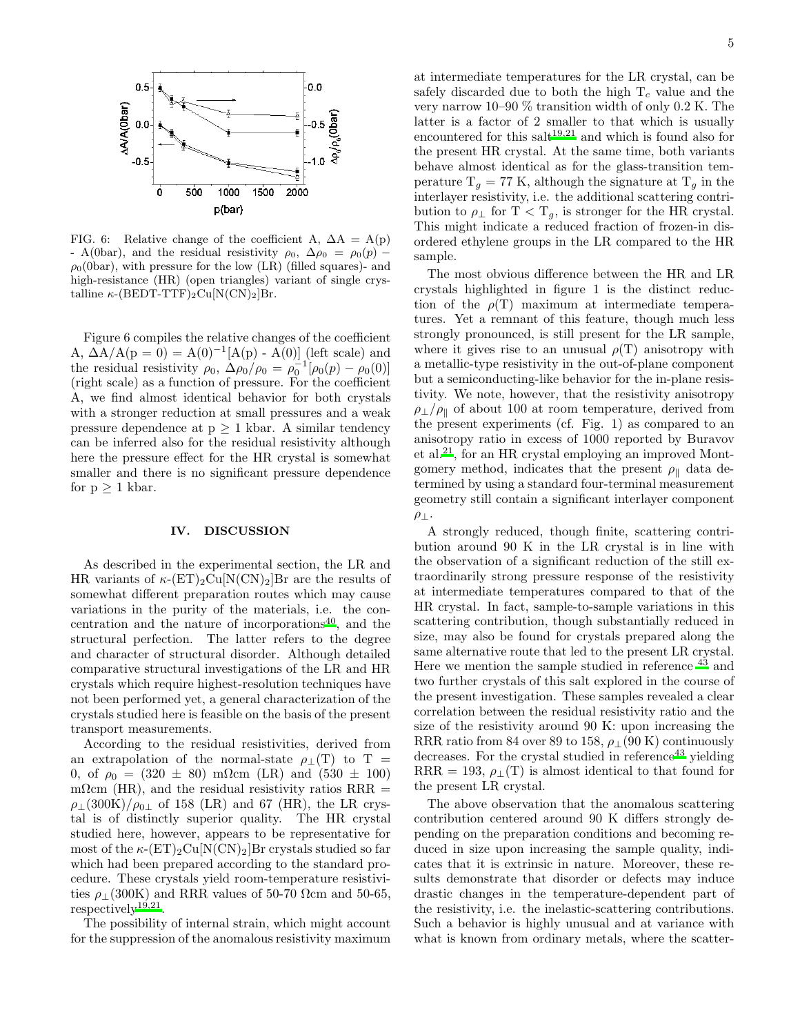

FIG. 6: Relative change of the coefficient A,  $\Delta A = A(p)$ - A(0bar), and the residual resistivity  $\rho_0$ ,  $\Delta \rho_0 = \rho_0(p)$  –  $\rho_0$ (0bar), with pressure for the low (LR) (filled squares)- and high-resistance (HR) (open triangles) variant of single crystalline  $\kappa$ -(BEDT-TTF)<sub>2</sub>Cu[N(CN)<sub>2</sub>]Br.

Figure 6 compiles the relative changes of the coefficient A,  $\Delta A/A(p = 0) = A(0)^{-1}[A(p) - A(0)]$  (left scale) and the residual resistivity  $\rho_0$ ,  $\Delta \rho_0 / \rho_0 = \rho_0^{-1} [\rho_0(p) - \rho_0(0)]$ (right scale) as a function of pressure. For the coefficient A, we find almost identical behavior for both crystals with a stronger reduction at small pressures and a weak pressure dependence at  $p \geq 1$  kbar. A similar tendency can be inferred also for the residual resistivity although here the pressure effect for the HR crystal is somewhat smaller and there is no significant pressure dependence for  $p \geq 1$  kbar.

### IV. DISCUSSION

As described in the experimental section, the LR and HR variants of  $\kappa$ -(ET)<sub>2</sub>Cu[N(CN)<sub>2</sub>]Br are the results of somewhat different preparation routes which may cause variations in the purity of the materials, i.e. the concentration and the nature of incorporations $^{40}$  $^{40}$  $^{40}$ , and the structural perfection. The latter refers to the degree and character of structural disorder. Although detailed comparative structural investigations of the LR and HR crystals which require highest-resolution techniques have not been performed yet, a general characterization of the crystals studied here is feasible on the basis of the present transport measurements.

According to the residual resistivities, derived from an extrapolation of the normal-state  $\rho_{\perp}(T)$  to T = 0, of  $\rho_0 = (320 \pm 80) \text{ m}\Omega \text{cm}$  (LR) and  $(530 \pm 100)$ mΩcm (HR), and the residual resistivity ratios RRR  $=$  $\rho_{\perp}(300K)/\rho_{0\perp}$  of 158 (LR) and 67 (HR), the LR crystal is of distinctly superior quality. The HR crystal studied here, however, appears to be representative for most of the  $\kappa$ -(ET)<sub>2</sub>Cu[N(CN)<sub>2</sub>]Br crystals studied so far which had been prepared according to the standard procedure. These crystals yield room-temperature resistivities  $\rho_1(300K)$  and RRR values of 50-70  $\Omega$ cm and 50-65, respectively<sup>[19](#page-6-18)[,21](#page-6-20)</sup>.

The possibility of internal strain, which might account for the suppression of the anomalous resistivity maximum at intermediate temperatures for the LR crystal, can be safely discarded due to both the high  $T_c$  value and the very narrow 10–90 % transition width of only 0.2 K. The latter is a factor of 2 smaller to that which is usually encountered for this salt $19,21$  $19,21$  and which is found also for the present HR crystal. At the same time, both variants behave almost identical as for the glass-transition temperature  $T_q = 77$  K, although the signature at  $T_q$  in the interlayer resistivity, i.e. the additional scattering contribution to  $\rho_{\perp}$  for T < T<sub>g</sub>, is stronger for the HR crystal. This might indicate a reduced fraction of frozen-in disordered ethylene groups in the LR compared to the HR sample.

The most obvious difference between the HR and LR crystals highlighted in figure 1 is the distinct reduction of the  $\rho(T)$  maximum at intermediate temperatures. Yet a remnant of this feature, though much less strongly pronounced, is still present for the LR sample, where it gives rise to an unusual  $\rho(T)$  anisotropy with a metallic-type resistivity in the out-of-plane component but a semiconducting-like behavior for the in-plane resistivity. We note, however, that the resistivity anisotropy  $\rho_{\perp}/\rho_{\parallel}$  of about 100 at room temperature, derived from the present experiments (cf. Fig. 1) as compared to an anisotropy ratio in excess of 1000 reported by Buravov et al.[21](#page-6-20), for an HR crystal employing an improved Montgomery method, indicates that the present  $\rho_{\parallel}$  data determined by using a standard four-terminal measurement geometry still contain a significant interlayer component  $\rho_\perp$ .

A strongly reduced, though finite, scattering contribution around 90 K in the LR crystal is in line with the observation of a significant reduction of the still extraordinarily strong pressure response of the resistivity at intermediate temperatures compared to that of the HR crystal. In fact, sample-to-sample variations in this scattering contribution, though substantially reduced in size, may also be found for crystals prepared along the same alternative route that led to the present LR crystal. Here we mention the sample studied in reference [43](#page-7-1) and two further crystals of this salt explored in the course of the present investigation. These samples revealed a clear correlation between the residual resistivity ratio and the size of the resistivity around 90 K: upon increasing the RRR ratio from 84 over 89 to 158,  $\rho_1$  (90 K) continuously decreases. For the crystal studied in reference  $43$  yielding RRR = 193,  $\rho_{\perp}(T)$  is almost identical to that found for the present LR crystal.

The above observation that the anomalous scattering contribution centered around 90 K differs strongly depending on the preparation conditions and becoming reduced in size upon increasing the sample quality, indicates that it is extrinsic in nature. Moreover, these results demonstrate that disorder or defects may induce drastic changes in the temperature-dependent part of the resistivity, i.e. the inelastic-scattering contributions. Such a behavior is highly unusual and at variance with what is known from ordinary metals, where the scatter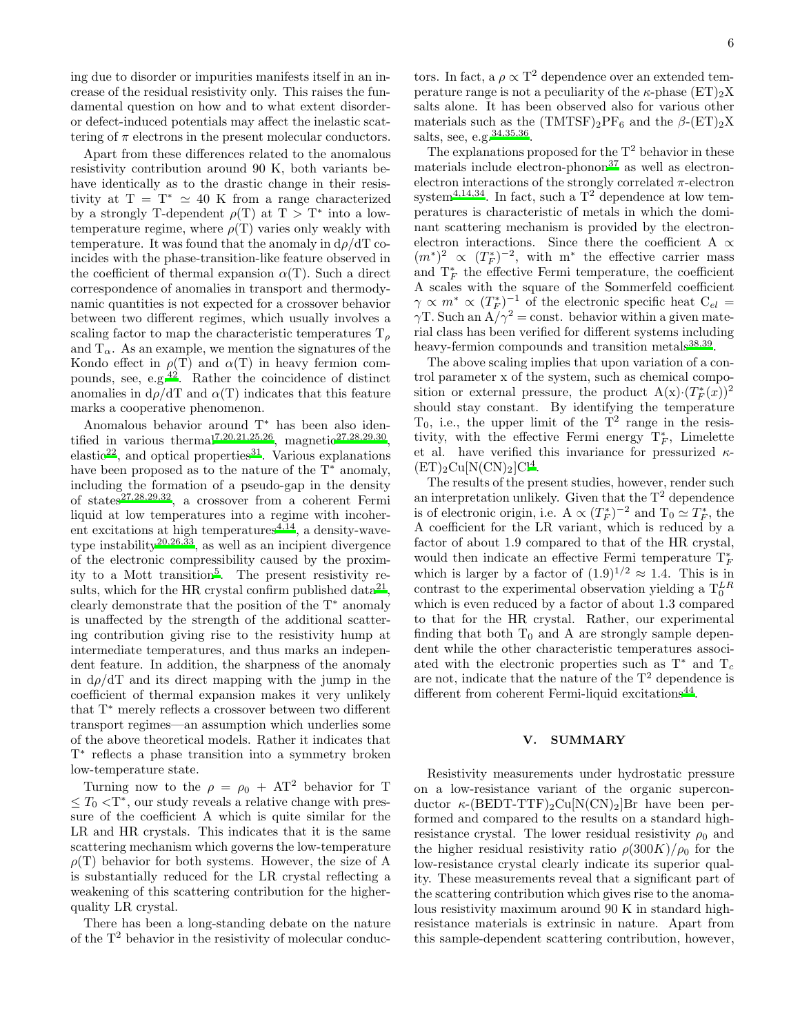ing due to disorder or impurities manifests itself in an increase of the residual resistivity only. This raises the fundamental question on how and to what extent disorderor defect-induced potentials may affect the inelastic scattering of  $\pi$  electrons in the present molecular conductors.

Apart from these differences related to the anomalous resistivity contribution around 90 K, both variants behave identically as to the drastic change in their resistivity at  $T = T^* \simeq 40$  K from a range characterized by a strongly T-dependent  $\rho(T)$  at  $T > T^*$  into a lowtemperature regime, where  $\rho(T)$  varies only weakly with temperature. It was found that the anomaly in  $d\rho/dT$  coincides with the phase-transition-like feature observed in the coefficient of thermal expansion  $\alpha(T)$ . Such a direct correspondence of anomalies in transport and thermodynamic quantities is not expected for a crossover behavior between two different regimes, which usually involves a scaling factor to map the characteristic temperatures  $\mathrm{T}_o$ and  $T_{\alpha}$ . As an example, we mention the signatures of the Kondo effect in  $\rho(T)$  and  $\alpha(T)$  in heavy fermion compounds, see, e.g.[42](#page-7-2). Rather the coincidence of distinct anomalies in  $d\rho/dT$  and  $\alpha(T)$  indicates that this feature marks a cooperative phenomenon.

Anomalous behavior around T<sup>∗</sup> has been also identified in various therma[l](#page-6-6)<sup>7[,20](#page-6-19)[,21](#page-6-20)[,25](#page-6-24)[,26](#page-6-25)</sup>, magneti[c](#page-6-26)<sup>27[,28](#page-6-27)[,29](#page-6-28)[,30](#page-6-29)</sup>, elastic<sup>[22](#page-6-21)</sup>, and optical properties<sup>[31](#page-7-3)</sup>. Various explanations have been proposed as to the nature of the  $T^*$  anomaly, including the formation of a pseudo-gap in the density of states<sup>[27](#page-6-26)[,28](#page-6-27)[,29](#page-6-28)[,32](#page-7-4)</sup>, a crossover from a coherent Fermi liquid at low temperatures into a regime with incoherent excitations at high temperatures  $4,14$  $4,14$ , a density-wave-type instability<sup>[20](#page-6-19)[,26](#page-6-25)[,33](#page-7-5)</sup>, as well as an incipient divergence of the electronic compressibility caused by the proximity to a Mott transition[5](#page-6-4) . The present resistivity re-sults, which for the HR crystal confirm published data<sup>[21](#page-6-20)</sup>, clearly demonstrate that the position of the T<sup>∗</sup> anomaly is unaffected by the strength of the additional scattering contribution giving rise to the resistivity hump at intermediate temperatures, and thus marks an independent feature. In addition, the sharpness of the anomaly in  $d\rho/dT$  and its direct mapping with the jump in the coefficient of thermal expansion makes it very unlikely that T<sup>∗</sup> merely reflects a crossover between two different transport regimes—an assumption which underlies some of the above theoretical models. Rather it indicates that T ∗ reflects a phase transition into a symmetry broken low-temperature state.

Turning now to the  $\rho = \rho_0 + AT^2$  behavior for T  $\leq T_0 < T^*$ , our study reveals a relative change with pressure of the coefficient A which is quite similar for the LR and HR crystals. This indicates that it is the same scattering mechanism which governs the low-temperature  $\rho(T)$  behavior for both systems. However, the size of A is substantially reduced for the LR crystal reflecting a weakening of this scattering contribution for the higherquality LR crystal.

There has been a long-standing debate on the nature of the  $T^2$  behavior in the resistivity of molecular conduc-

tors. In fact, a  $\rho \propto T^2$  dependence over an extended temperature range is not a peculiarity of the  $\kappa$ -phase  $(ET)_2X$ salts alone. It has been observed also for various other materials such as the  $(TMTSF)_2PF_6$  and the  $\beta$ - $(ET)_2X$ salts, see, e.g.  $34,35,36$  $34,35,36$  $34,35,36$ .

The explanations proposed for the  $T^2$  behavior in these materials include electron-phonon $37$  as well as electronelectron interactions of the strongly correlated  $\pi$ -electron system<sup>[4](#page-6-3)[,14](#page-6-13)[,34](#page-7-6)</sup>. In fact, such a  $T^2$  dependence at low temperatures is characteristic of metals in which the dominant scattering mechanism is provided by the electronelectron interactions. Since there the coefficient A  $\propto$  $(m^*)^2 \propto (T_F^*)^{-2}$ , with m<sup>\*</sup> the effective carrier mass and  $T_F^*$  the effective Fermi temperature, the coefficient A scales with the square of the Sommerfeld coefficient  $\gamma \propto m^* \propto (T_F^*)^{-1}$  of the electronic specific heat  $C_{el} =$  $\gamma$ T. Such an  $A/\gamma^2$  = const. behavior within a given material class has been verified for different systems including heavy-fermion compounds and transition metals<sup>[38](#page-7-10)[,39](#page-7-11)</sup>.

The above scaling implies that upon variation of a control parameter x of the system, such as chemical composition or external pressure, the product  $A(x) \cdot (T_F^*(x))^2$ should stay constant. By identifying the temperature  $T_0$ , i.e., the upper limit of the  $T^2$  range in the resistivity, with the effective Fermi energy  $T_F^*$ , Limelette et al. have verified this invariance for pressurized  $\kappa$ - $(ET)_2Cu[N(CN)_2]Cl<sup>4</sup>.$  $(ET)_2Cu[N(CN)_2]Cl<sup>4</sup>.$  $(ET)_2Cu[N(CN)_2]Cl<sup>4</sup>.$ 

The results of the present studies, however, render such an interpretation unlikely. Given that the  $T^2$  dependence is of electronic origin, i.e.  $A \propto (T_F^*)^{-2}$  and  $T_0 \simeq T_F^*$ , the A coefficient for the LR variant, which is reduced by a factor of about 1.9 compared to that of the HR crystal, would then indicate an effective Fermi temperature  $T_F^*$ which is larger by a factor of  $(1.9)^{1/2} \approx 1.4$ . This is in contrast to the experimental observation yielding a  $T_0^{LR}$ which is even reduced by a factor of about 1.3 compared to that for the HR crystal. Rather, our experimental finding that both  $T_0$  and A are strongly sample dependent while the other characteristic temperatures associated with the electronic properties such as  $T^*$  and  $T_c$ are not, indicate that the nature of the  $T^2$  dependence is different from coherent Fermi-liquid excitation[s](#page-7-12)<sup>44</sup>.

# V. SUMMARY

Resistivity measurements under hydrostatic pressure on a low-resistance variant of the organic superconductor  $\kappa$ -(BEDT-TTF)<sub>2</sub>Cu[N(CN)<sub>2</sub>]Br have been performed and compared to the results on a standard highresistance crystal. The lower residual resistivity  $\rho_0$  and the higher residual resistivity ratio  $\rho(300K)/\rho_0$  for the low-resistance crystal clearly indicate its superior quality. These measurements reveal that a significant part of the scattering contribution which gives rise to the anomalous resistivity maximum around 90 K in standard highresistance materials is extrinsic in nature. Apart from this sample-dependent scattering contribution, however,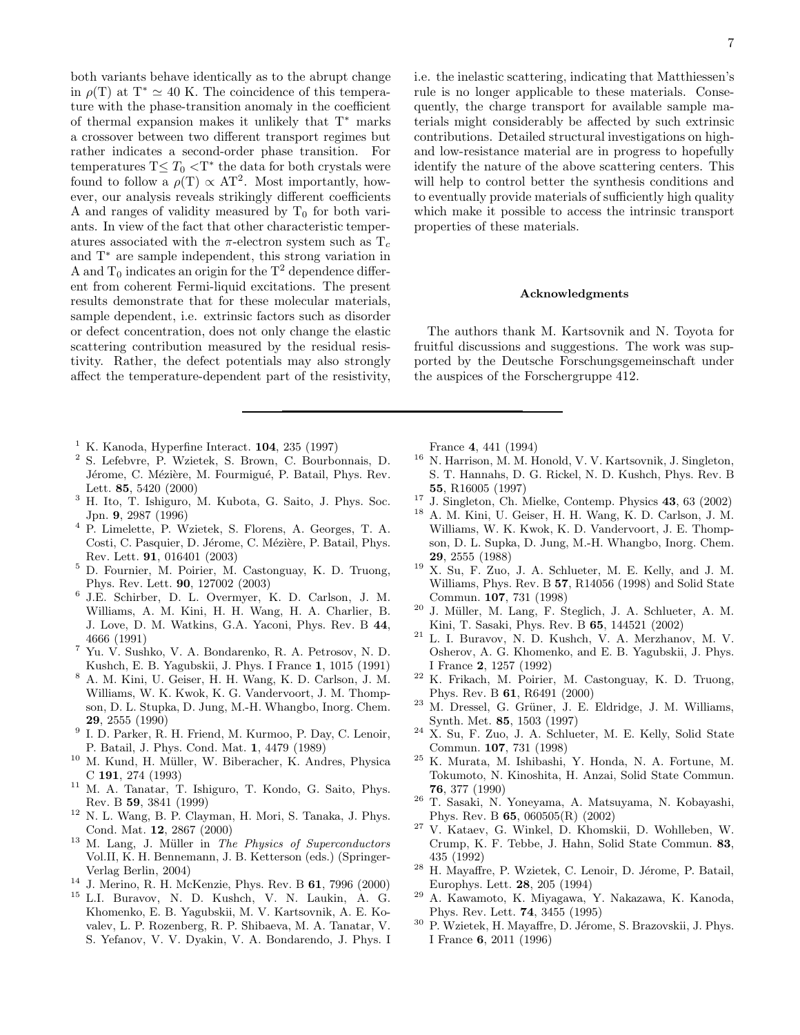both variants behave identically as to the abrupt change in  $\rho(T)$  at  $T^* \simeq 40$  K. The coincidence of this temperature with the phase-transition anomaly in the coefficient of thermal expansion makes it unlikely that T<sup>∗</sup> marks a crossover between two different transport regimes but rather indicates a second-order phase transition. For temperatures  $T \leq T_0 < T^*$  the data for both crystals were found to follow a  $\rho(T) \propto AT^2$ . Most importantly, however, our analysis reveals strikingly different coefficients A and ranges of validity measured by  $T_0$  for both variants. In view of the fact that other characteristic temperatures associated with the  $\pi$ -electron system such as  $T_c$ and T<sup>∗</sup> are sample independent, this strong variation in A and  $T_0$  indicates an origin for the  $T^2$  dependence different from coherent Fermi-liquid excitations. The present results demonstrate that for these molecular materials, sample dependent, i.e. extrinsic factors such as disorder or defect concentration, does not only change the elastic scattering contribution measured by the residual resistivity. Rather, the defect potentials may also strongly affect the temperature-dependent part of the resistivity,

- <span id="page-6-0"></span> $<sup>1</sup>$  K. Kanoda, Hyperfine Interact. 104, 235 (1997)</sup>
- <span id="page-6-1"></span><sup>2</sup> S. Lefebvre, P. Wzietek, S. Brown, C. Bourbonnais, D. Jérome, C. Mézière, M. Fourmigué, P. Batail, Phys. Rev. Lett. 85, 5420 (2000)
- <span id="page-6-2"></span><sup>3</sup> H. Ito, T. Ishiguro, M. Kubota, G. Saito, J. Phys. Soc. Jpn. 9, 2987 (1996)
- <span id="page-6-3"></span><sup>4</sup> P. Limelette, P. Wzietek, S. Florens, A. Georges, T. A. Costi, C. Pasquier, D. Jérome, C. Mézière, P. Batail, Phys. Rev. Lett. 91, 016401 (2003)
- <span id="page-6-4"></span><sup>5</sup> D. Fournier, M. Poirier, M. Castonguay, K. D. Truong, Phys. Rev. Lett. 90, 127002 (2003)
- <span id="page-6-5"></span>6 J.E. Schirber, D. L. Overmyer, K. D. Carlson, J. M. Williams, A. M. Kini, H. H. Wang, H. A. Charlier, B. J. Love, D. M. Watkins, G.A. Yaconi, Phys. Rev. B 44, 4666 (1991)
- <span id="page-6-6"></span><sup>7</sup> Yu. V. Sushko, V. A. Bondarenko, R. A. Petrosov, N. D. Kushch, E. B. Yagubskii, J. Phys. I France 1, 1015 (1991)
- <span id="page-6-7"></span><sup>8</sup> A. M. Kini, U. Geiser, H. H. Wang, K. D. Carlson, J. M. Williams, W. K. Kwok, K. G. Vandervoort, J. M. Thompson, D. L. Stupka, D. Jung, M.-H. Whangbo, Inorg. Chem. 29, 2555 (1990)
- <span id="page-6-8"></span><sup>9</sup> I. D. Parker, R. H. Friend, M. Kurmoo, P. Day, C. Lenoir, P. Batail, J. Phys. Cond. Mat. 1, 4479 (1989)
- <span id="page-6-9"></span><sup>10</sup> M. Kund, H. Müller, W. Biberacher, K. Andres, Physica C 191, 274 (1993)
- <span id="page-6-10"></span><sup>11</sup> M. A. Tanatar, T. Ishiguro, T. Kondo, G. Saito, Phys. Rev. B 59, 3841 (1999)
- <span id="page-6-11"></span><sup>12</sup> N. L. Wang, B. P. Clayman, H. Mori, S. Tanaka, J. Phys. Cond. Mat. 12, 2867 (2000)
- <span id="page-6-12"></span> $13$  M. Lang, J. Müller in The Physics of Superconductors Vol.II, K. H. Bennemann, J. B. Ketterson (eds.) (Springer-Verlag Berlin, 2004)
- <span id="page-6-14"></span><span id="page-6-13"></span><sup>14</sup> J. Merino, R. H. McKenzie, Phys. Rev. B **61**, 7996 (2000)
- <sup>15</sup> L.I. Buravov, N. D. Kushch, V. N. Laukin, A. G. Khomenko, E. B. Yagubskii, M. V. Kartsovnik, A. E. Kovalev, L. P. Rozenberg, R. P. Shibaeva, M. A. Tanatar, V. S. Yefanov, V. V. Dyakin, V. A. Bondarendo, J. Phys. I

i.e. the inelastic scattering, indicating that Matthiessen's rule is no longer applicable to these materials. Consequently, the charge transport for available sample materials might considerably be affected by such extrinsic contributions. Detailed structural investigations on highand low-resistance material are in progress to hopefully identify the nature of the above scattering centers. This will help to control better the synthesis conditions and to eventually provide materials of sufficiently high quality which make it possible to access the intrinsic transport properties of these materials.

## Acknowledgments

The authors thank M. Kartsovnik and N. Toyota for fruitful discussions and suggestions. The work was supported by the Deutsche Forschungsgemeinschaft under the auspices of the Forschergruppe 412.

France 4, 441 (1994)

- <span id="page-6-15"></span><sup>16</sup> N. Harrison, M. M. Honold, V. V. Kartsovnik, J. Singleton, S. T. Hannahs, D. G. Rickel, N. D. Kushch, Phys. Rev. B 55, R16005 (1997)
- <span id="page-6-16"></span> $^{17}$  J. Singleton, Ch. Mielke, Contemp. Physics  $\bf{43},$   $\bf{63}$   $\bf{(2002)}$
- <span id="page-6-17"></span><sup>18</sup> A. M. Kini, U. Geiser, H. H. Wang, K. D. Carlson, J. M. Williams, W. K. Kwok, K. D. Vandervoort, J. E. Thompson, D. L. Supka, D. Jung, M.-H. Whangbo, Inorg. Chem. 29, 2555 (1988)
- <span id="page-6-18"></span> $19$  X. Su, F. Zuo, J. A. Schlueter, M. E. Kelly, and J. M. Williams, Phys. Rev. B 57, R14056 (1998) and Solid State Commun. 107, 731 (1998)
- <span id="page-6-19"></span> $20$  J. Müller, M. Lang, F. Steglich, J. A. Schlueter, A. M. Kini, T. Sasaki, Phys. Rev. B 65, 144521 (2002)
- <span id="page-6-20"></span> $21$  L. I. Buravov, N. D. Kushch, V. A. Merzhanov, M. V. Osherov, A. G. Khomenko, and E. B. Yagubskii, J. Phys. I France 2, 1257 (1992)
- <span id="page-6-21"></span><sup>22</sup> K. Frikach, M. Poirier, M. Castonguay, K. D. Truong, Phys. Rev. B 61, R6491 (2000)
- <span id="page-6-22"></span> $23$  M. Dressel, G. Grüner, J. E. Eldridge, J. M. Williams, Synth. Met. 85, 1503 (1997)
- <span id="page-6-23"></span><sup>24</sup> X. Su, F. Zuo, J. A. Schlueter, M. E. Kelly, Solid State Commun. 107, 731 (1998)
- <span id="page-6-24"></span><sup>25</sup> K. Murata, M. Ishibashi, Y. Honda, N. A. Fortune, M. Tokumoto, N. Kinoshita, H. Anzai, Solid State Commun. 76, 377 (1990)
- <span id="page-6-25"></span><sup>26</sup> T. Sasaki, N. Yoneyama, A. Matsuyama, N. Kobayashi, Phys. Rev. B 65, 060505(R) (2002)
- <span id="page-6-26"></span><sup>27</sup> V. Kataev, G. Winkel, D. Khomskii, D. Wohlleben, W. Crump, K. F. Tebbe, J. Hahn, Solid State Commun. 83, 435 (1992)
- <span id="page-6-27"></span><sup>28</sup> H. Mayaffre, P. Wzietek, C. Lenoir, D. Jérome, P. Batail, Europhys. Lett. 28, 205 (1994)
- <span id="page-6-28"></span><sup>29</sup> A. Kawamoto, K. Miyagawa, Y. Nakazawa, K. Kanoda, Phys. Rev. Lett. 74, 3455 (1995)
- <span id="page-6-29"></span> $30$  P. Wzietek, H. Mayaffre, D. Jérome, S. Brazovskii, J. Phys. I France 6, 2011 (1996)